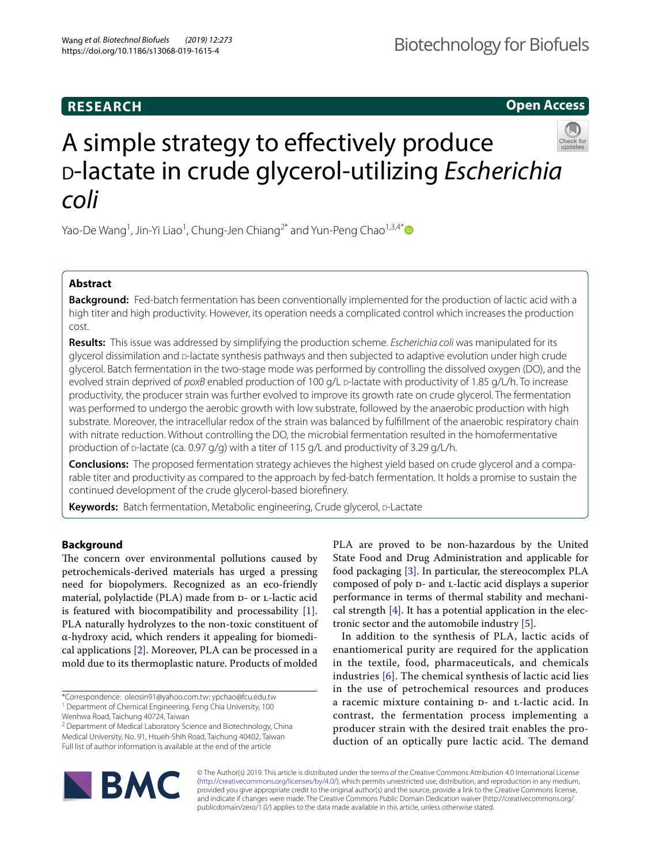## **RESEARCH**

**Open Access**

# A simple strategy to efectively produce <sup>d</sup>-lactate in crude glycerol-utilizing *Escherichia coli*

Yao-De Wang<sup>1</sup>, Jin-Yi Liao<sup>1</sup>, Chung-Jen Chiang<sup>2[\\*](http://orcid.org/0000-0001-7997-0752)</sup> and Yun-Peng Chao<sup>1,3,4\*</sup>

### **Abstract**

**Background:** Fed-batch fermentation has been conventionally implemented for the production of lactic acid with a high titer and high productivity. However, its operation needs a complicated control which increases the production cost.

**Results:** This issue was addressed by simplifying the production scheme. *Escherichia coli* was manipulated for its glycerol dissimilation and p-lactate synthesis pathways and then subjected to adaptive evolution under high crude glycerol. Batch fermentation in the two-stage mode was performed by controlling the dissolved oxygen (DO), and the evolved strain deprived of *poxB* enabled production of 100 g/L p-lactate with productivity of 1.85 g/L/h. To increase productivity, the producer strain was further evolved to improve its growth rate on crude glycerol. The fermentation was performed to undergo the aerobic growth with low substrate, followed by the anaerobic production with high substrate. Moreover, the intracellular redox of the strain was balanced by fulfllment of the anaerobic respiratory chain with nitrate reduction. Without controlling the DO, the microbial fermentation resulted in the homofermentative production of  $D$ -lactate (ca. 0.97 g/g) with a titer of 115 g/L and productivity of 3.29 g/L/h.

**Conclusions:** The proposed fermentation strategy achieves the highest yield based on crude glycerol and a compa‑ rable titer and productivity as compared to the approach by fed-batch fermentation. It holds a promise to sustain the continued development of the crude glycerol-based biorefnery.

Keywords: Batch fermentation, Metabolic engineering, Crude glycerol, p-Lactate

#### **Background**

The concern over environmental pollutions caused by petrochemicals-derived materials has urged a pressing need for biopolymers. Recognized as an eco-friendly material, polylactide (PLA) made from D- or L-lactic acid is featured with biocompatibility and processability [\[1](#page-7-0)]. PLA naturally hydrolyzes to the non-toxic constituent of α-hydroxy acid, which renders it appealing for biomedical applications [\[2](#page-7-1)]. Moreover, PLA can be processed in a mold due to its thermoplastic nature. Products of molded

<sup>2</sup> Department of Medical Laboratory Science and Biotechnology, China Medical University, No. 91, Hsueh‑Shih Road, Taichung 40402, Taiwan Full list of author information is available at the end of the article

PLA are proved to be non-hazardous by the United State Food and Drug Administration and applicable for food packaging [\[3](#page-7-2)]. In particular, the stereocomplex PLA composed of poly D- and L-lactic acid displays a superior performance in terms of thermal stability and mechanical strength  $[4]$ . It has a potential application in the electronic sector and the automobile industry [\[5](#page-7-4)].

In addition to the synthesis of PLA, lactic acids of enantiomerical purity are required for the application in the textile, food, pharmaceuticals, and chemicals industries [[6](#page-7-5)]. The chemical synthesis of lactic acid lies in the use of petrochemical resources and produces a racemic mixture containing D- and L-lactic acid. In contrast, the fermentation process implementing a producer strain with the desired trait enables the production of an optically pure lactic acid. The demand



© The Author(s) 2019. This article is distributed under the terms of the Creative Commons Attribution 4.0 International License [\(http://creativecommons.org/licenses/by/4.0/\)](http://creativecommons.org/licenses/by/4.0/), which permits unrestricted use, distribution, and reproduction in any medium, provided you give appropriate credit to the original author(s) and the source, provide a link to the Creative Commons license, and indicate if changes were made. The Creative Commons Public Domain Dedication waiver (http://creativecommons.org/ publicdomain/zero/1.0/) applies to the data made available in this article, unless otherwise stated.

<sup>\*</sup>Correspondence: oleosin91@yahoo.com.tw; ypchao@fcu.edu.tw

<sup>&</sup>lt;sup>1</sup> Department of Chemical Engineering, Feng Chia University, 100

Wenhwa Road, Taichung 40724, Taiwan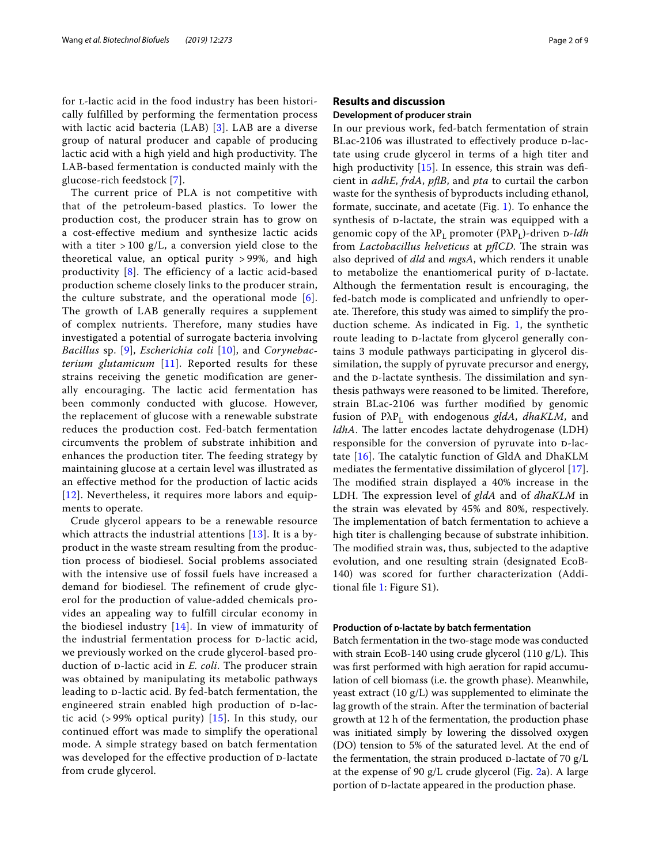for *L*-lactic acid in the food industry has been historically fulfilled by performing the fermentation process with lactic acid bacteria (LAB) [[3](#page-7-2)]. LAB are a diverse group of natural producer and capable of producing lactic acid with a high yield and high productivity. The LAB-based fermentation is conducted mainly with the glucose-rich feedstock [[7\]](#page-7-6).

The current price of PLA is not competitive with that of the petroleum-based plastics. To lower the production cost, the producer strain has to grow on a cost-effective medium and synthesize lactic acids with a titer  $> 100$  g/L, a conversion yield close to the theoretical value, an optical purity > 99%, and high productivity [[8\]](#page-7-7). The efficiency of a lactic acid-based production scheme closely links to the producer strain, the culture substrate, and the operational mode  $[6]$  $[6]$ . The growth of LAB generally requires a supplement of complex nutrients. Therefore, many studies have investigated a potential of surrogate bacteria involving *Bacillus* sp. [[9\]](#page-7-8), *Escherichia coli* [\[10\]](#page-7-9), and *Corynebacterium glutamicum* [\[11\]](#page-7-10). Reported results for these strains receiving the genetic modification are generally encouraging. The lactic acid fermentation has been commonly conducted with glucose. However, the replacement of glucose with a renewable substrate reduces the production cost. Fed-batch fermentation circumvents the problem of substrate inhibition and enhances the production titer. The feeding strategy by maintaining glucose at a certain level was illustrated as an effective method for the production of lactic acids [[12](#page-7-11)]. Nevertheless, it requires more labors and equipments to operate.

Crude glycerol appears to be a renewable resource which attracts the industrial attentions [[13\]](#page-7-12). It is a byproduct in the waste stream resulting from the production process of biodiesel. Social problems associated with the intensive use of fossil fuels have increased a demand for biodiesel. The refinement of crude glycerol for the production of value-added chemicals provides an appealing way to fulfill circular economy in the biodiesel industry  $[14]$  $[14]$  $[14]$ . In view of immaturity of the industrial fermentation process for  $D$ -lactic acid, we previously worked on the crude glycerol-based production of *p*-lactic acid in *E. coli*. The producer strain was obtained by manipulating its metabolic pathways leading to D-lactic acid. By fed-batch fermentation, the engineered strain enabled high production of D-lactic acid  $(>99\%$  optical purity) [\[15\]](#page-8-1). In this study, our continued effort was made to simplify the operational mode. A simple strategy based on batch fermentation was developed for the effective production of D-lactate from crude glycerol.

#### **Results and discussion**

#### **Development of producer strain**

In our previous work, fed-batch fermentation of strain BLac-2106 was illustrated to effectively produce D-lactate using crude glycerol in terms of a high titer and high productivity  $[15]$  $[15]$ . In essence, this strain was deficient in *adhE*, *frdA*, *pfB*, and *pta* to curtail the carbon waste for the synthesis of byproducts including ethanol, formate, succinate, and acetate (Fig. [1](#page-2-0)). To enhance the synthesis of D-lactate, the strain was equipped with a genomic copy of the  $\lambda P_L$  promoter ( $P\lambda P_L$ )-driven D-*ldh* from *Lactobacillus helveticus* at *pflCD*. The strain was also deprived of *dld* and *mgsA*, which renders it unable to metabolize the enantiomerical purity of  $D$ -lactate. Although the fermentation result is encouraging, the fed-batch mode is complicated and unfriendly to operate. Therefore, this study was aimed to simplify the production scheme. As indicated in Fig. [1,](#page-2-0) the synthetic route leading to p-lactate from glycerol generally contains 3 module pathways participating in glycerol dissimilation, the supply of pyruvate precursor and energy, and the D-lactate synthesis. The dissimilation and synthesis pathways were reasoned to be limited. Therefore, strain BLac-2106 was further modifed by genomic fusion of PλPL with endogenous *gldA*, *dhaKLM*, and *ldhA*. The latter encodes lactate dehydrogenase (LDH) responsible for the conversion of pyruvate into  $D$ -lactate  $[16]$  $[16]$ . The catalytic function of GldA and DhaKLM mediates the fermentative dissimilation of glycerol [[17](#page-8-3)]. The modified strain displayed a 40% increase in the LDH. The expression level of *gldA* and of *dhaKLM* in the strain was elevated by 45% and 80%, respectively. The implementation of batch fermentation to achieve a high titer is challenging because of substrate inhibition. The modified strain was, thus, subjected to the adaptive evolution, and one resulting strain (designated EcoB-140) was scored for further characterization (Additional fle [1:](#page-7-13) Figure S1).

#### **Production of <b>p-lactate** by batch fermentation

Batch fermentation in the two-stage mode was conducted with strain EcoB-140 using crude glycerol  $(110 \text{ g/L})$ . This was frst performed with high aeration for rapid accumulation of cell biomass (i.e. the growth phase). Meanwhile, yeast extract (10 g/L) was supplemented to eliminate the lag growth of the strain. After the termination of bacterial growth at 12 h of the fermentation, the production phase was initiated simply by lowering the dissolved oxygen (DO) tension to 5% of the saturated level. At the end of the fermentation, the strain produced  $D$ -lactate of 70  $g/L$ at the expense of 90 g/L crude glycerol (Fig. [2a](#page-3-0)). A large portion of  $D$ -lactate appeared in the production phase.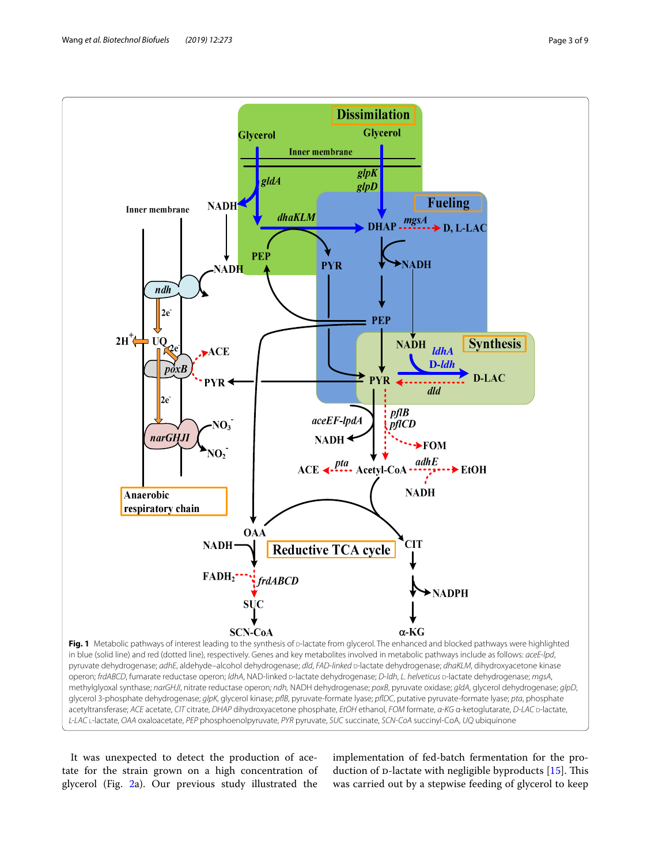

<span id="page-2-0"></span>It was unexpected to detect the production of acetate for the strain grown on a high concentration of glycerol (Fig. [2](#page-3-0)a). Our previous study illustrated the

implementation of fed-batch fermentation for the production of  $D$ -lactate with negligible byproducts [\[15](#page-8-1)]. This was carried out by a stepwise feeding of glycerol to keep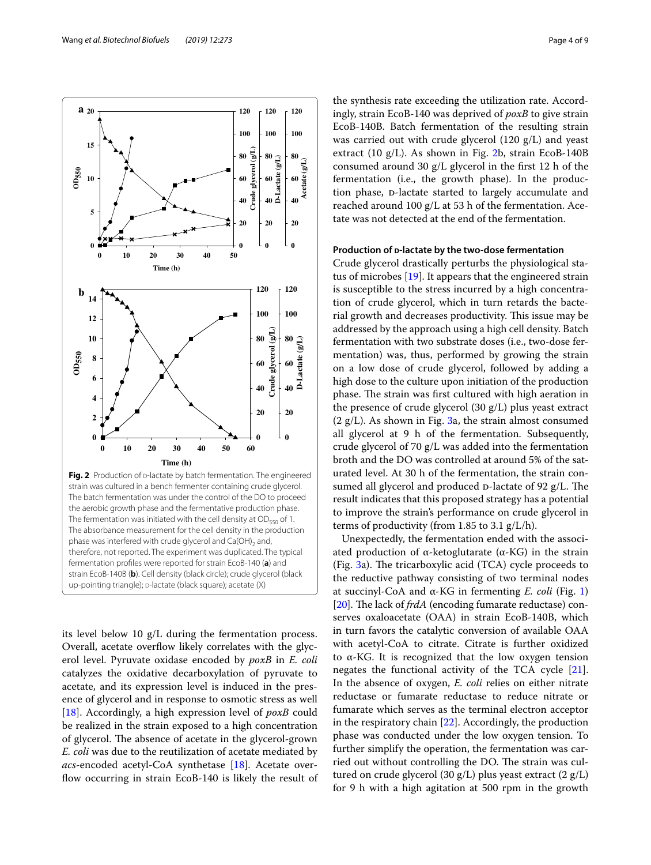

<span id="page-3-0"></span>The batch fermentation was under the control of the DO to proceed the aerobic growth phase and the fermentative production phase. The fermentation was initiated with the cell density at  $OD_{550}$  of 1. The absorbance measurement for the cell density in the production phase was interfered with crude glycerol and  $Ca(OH)_2$  and, therefore, not reported. The experiment was duplicated. The typical fermentation profles were reported for strain EcoB-140 (**a**) and strain EcoB-140B (**b**). Cell density (black circle); crude glycerol (black up-pointing triangle); p-lactate (black square); acetate (X)

its level below 10 g/L during the fermentation process. Overall, acetate overflow likely correlates with the glycerol level. Pyruvate oxidase encoded by *poxB* in *E. coli* catalyzes the oxidative decarboxylation of pyruvate to acetate, and its expression level is induced in the presence of glycerol and in response to osmotic stress as well [[18\]](#page-8-4). Accordingly, a high expression level of *poxB* could be realized in the strain exposed to a high concentration of glycerol. The absence of acetate in the glycerol-grown *E. coli* was due to the reutilization of acetate mediated by *acs*-encoded acetyl-CoA synthetase [[18\]](#page-8-4). Acetate overflow occurring in strain EcoB-140 is likely the result of

the synthesis rate exceeding the utilization rate. Accordingly, strain EcoB-140 was deprived of *poxB* to give strain EcoB-140B. Batch fermentation of the resulting strain was carried out with crude glycerol (120 g/L) and yeast extract (10 g/L). As shown in Fig. [2b](#page-3-0), strain EcoB-140B consumed around 30 g/L glycerol in the frst 12 h of the fermentation (i.e., the growth phase). In the production phase, p-lactate started to largely accumulate and reached around 100 g/L at 53 h of the fermentation. Acetate was not detected at the end of the fermentation.

#### Production of **p-lactate by the two-dose fermentation**

Crude glycerol drastically perturbs the physiological status of microbes [\[19](#page-8-5)]. It appears that the engineered strain is susceptible to the stress incurred by a high concentration of crude glycerol, which in turn retards the bacterial growth and decreases productivity. This issue may be addressed by the approach using a high cell density. Batch fermentation with two substrate doses (i.e., two-dose fermentation) was, thus, performed by growing the strain on a low dose of crude glycerol, followed by adding a high dose to the culture upon initiation of the production phase. The strain was first cultured with high aeration in the presence of crude glycerol (30 g/L) plus yeast extract  $(2 g/L)$ . As shown in Fig. [3](#page-4-0)a, the strain almost consumed all glycerol at 9 h of the fermentation. Subsequently, crude glycerol of 70 g/L was added into the fermentation broth and the DO was controlled at around 5% of the saturated level. At 30 h of the fermentation, the strain consumed all glycerol and produced  $D$ -lactate of 92 g/L. The result indicates that this proposed strategy has a potential to improve the strain's performance on crude glycerol in terms of productivity (from 1.85 to 3.1 g/L/h).

Unexpectedly, the fermentation ended with the associated production of  $α$ -ketoglutarate  $(α$ -KG) in the strain (Fig.  $3a$ ). The tricarboxylic acid (TCA) cycle proceeds to the reductive pathway consisting of two terminal nodes at succinyl-CoA and α-KG in fermenting *E. coli* (Fig. [1](#page-2-0)) [[20\]](#page-8-6). The lack of *frdA* (encoding fumarate reductase) conserves oxaloacetate (OAA) in strain EcoB-140B, which in turn favors the catalytic conversion of available OAA with acetyl-CoA to citrate. Citrate is further oxidized to α-KG. It is recognized that the low oxygen tension negates the functional activity of the TCA cycle [\[21](#page-8-7)]. In the absence of oxygen, *E. coli* relies on either nitrate reductase or fumarate reductase to reduce nitrate or fumarate which serves as the terminal electron acceptor in the respiratory chain [[22\]](#page-8-8). Accordingly, the production phase was conducted under the low oxygen tension. To further simplify the operation, the fermentation was carried out without controlling the DO. The strain was cultured on crude glycerol (30 g/L) plus yeast extract (2 g/L) for 9 h with a high agitation at 500 rpm in the growth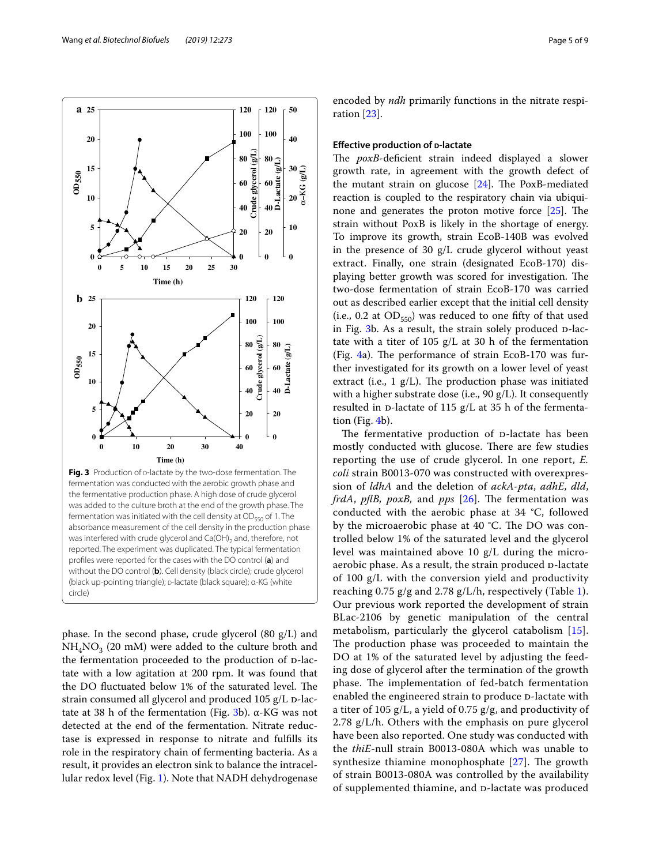phase. In the second phase, crude glycerol  $(80 \text{ g/L})$  and  $NH<sub>4</sub>NO<sub>3</sub>$  (20 mM) were added to the culture broth and the fermentation proceeded to the production of D-lactate with a low agitation at 200 rpm. It was found that the DO fluctuated below 1% of the saturated level. The strain consumed all glycerol and produced  $105$  g/L  $p$ -lac-tate at [3](#page-4-0)8 h of the fermentation (Fig. 3b).  $α$ -KG was not detected at the end of the fermentation. Nitrate reductase is expressed in response to nitrate and fulflls its role in the respiratory chain of fermenting bacteria. As a result, it provides an electron sink to balance the intracellular redox level (Fig. [1](#page-2-0)). Note that NADH dehydrogenase

<span id="page-4-0"></span>absorbance measurement of the cell density in the production phase was interfered with crude glycerol and  $Ca(OH)_2$  and, therefore, not reported. The experiment was duplicated. The typical fermentation profles were reported for the cases with the DO control (**a**) and without the DO control (**b**). Cell density (black circle); crude glycerol (black up-pointing triangle); p-lactate (black square); α-KG (white

circle)

encoded by *ndh* primarily functions in the nitrate respiration [[23\]](#page-8-9).

#### **Effective production of** *p***-lactate**

The *poxB*-deficient strain indeed displayed a slower growth rate, in agreement with the growth defect of the mutant strain on glucose  $[24]$  $[24]$  $[24]$ . The PoxB-mediated reaction is coupled to the respiratory chain via ubiquinone and generates the proton motive force  $[25]$  $[25]$ . The strain without PoxB is likely in the shortage of energy. To improve its growth, strain EcoB-140B was evolved in the presence of 30 g/L crude glycerol without yeast extract. Finally, one strain (designated EcoB-170) displaying better growth was scored for investigation. The two-dose fermentation of strain EcoB-170 was carried out as described earlier except that the initial cell density (i.e., 0.2 at  $OD_{550}$ ) was reduced to one fifty of that used in Fig. [3](#page-4-0)b. As a result, the strain solely produced D-lactate with a titer of 105  $g/L$  at 30 h of the fermentation (Fig.  $4a$ ). The performance of strain EcoB-170 was further investigated for its growth on a lower level of yeast extract (i.e.,  $1$   $g/L$ ). The production phase was initiated with a higher substrate dose (i.e., 90 g/L). It consequently resulted in  $D$ -lactate of 115 g/L at 35 h of the fermentation (Fig. [4b](#page-5-0)).

The fermentative production of p-lactate has been mostly conducted with glucose. There are few studies reporting the use of crude glycerol. In one report, *E. coli* strain B0013-070 was constructed with overexpression of *ldhA* and the deletion of *ackA*-*pta*, *adhE*, *dld*, *frdA*, *pflB*, *poxB*, and *pps*  $[26]$  $[26]$ . The fermentation was conducted with the aerobic phase at 34 °C, followed by the microaerobic phase at 40 °C. The DO was controlled below 1% of the saturated level and the glycerol level was maintained above 10 g/L during the microaerobic phase. As a result, the strain produced D-lactate of 100 g/L with the conversion yield and productivity reaching 0.75 g/g and 2.78 g/L/h, respectively (Table [1](#page-6-0)). Our previous work reported the development of strain BLac-2106 by genetic manipulation of the central metabolism, particularly the glycerol catabolism [[15](#page-8-1)]. The production phase was proceeded to maintain the DO at 1% of the saturated level by adjusting the feeding dose of glycerol after the termination of the growth phase. The implementation of fed-batch fermentation enabled the engineered strain to produce D-lactate with a titer of 105 g/L, a yield of 0.75 g/g, and productivity of 2.78 g/L/h. Others with the emphasis on pure glycerol have been also reported. One study was conducted with the *thiE*-null strain B0013-080A which was unable to synthesize thiamine monophosphate  $[27]$  $[27]$ . The growth of strain B0013-080A was controlled by the availability of supplemented thiamine, and D-lactate was produced

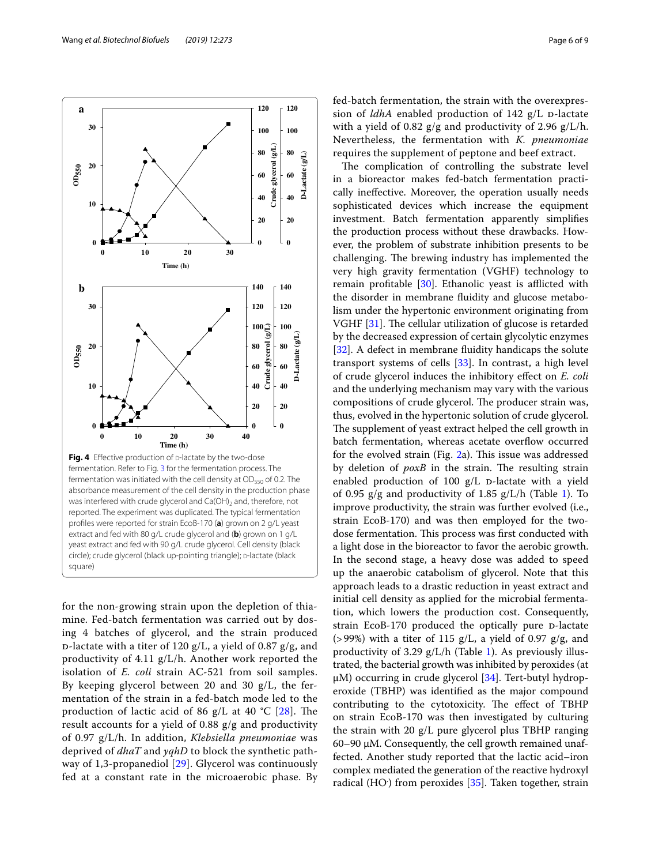

<span id="page-5-0"></span>for the non-growing strain upon the depletion of thiamine. Fed-batch fermentation was carried out by dosing 4 batches of glycerol, and the strain produced  $p$ -lactate with a titer of 120 g/L, a yield of 0.87 g/g, and productivity of 4.11 g/L/h. Another work reported the isolation of *E. coli* strain AC-521 from soil samples. By keeping glycerol between 20 and 30 g/L, the fermentation of the strain in a fed-batch mode led to the production of lactic acid of 86  $g/L$  at 40 °C [\[28](#page-8-14)]. The result accounts for a yield of 0.88 g/g and productivity of 0.97 g/L/h. In addition, *Klebsiella pneumoniae* was deprived of *dhaT* and *yqhD* to block the synthetic pathway of 1,3-propanediol [[29\]](#page-8-15). Glycerol was continuously fed at a constant rate in the microaerobic phase. By fed-batch fermentation, the strain with the overexpression of  $ldhA$  enabled production of 142  $g/L$  D-lactate with a yield of 0.82 g/g and productivity of 2.96 g/L/h. Nevertheless, the fermentation with *K. pneumoniae* requires the supplement of peptone and beef extract.

The complication of controlling the substrate level in a bioreactor makes fed-batch fermentation practically inefective. Moreover, the operation usually needs sophisticated devices which increase the equipment investment. Batch fermentation apparently simplifes the production process without these drawbacks. However, the problem of substrate inhibition presents to be challenging. The brewing industry has implemented the very high gravity fermentation (VGHF) technology to remain profitable  $[30]$  $[30]$ . Ethanolic yeast is afflicted with the disorder in membrane fuidity and glucose metabolism under the hypertonic environment originating from VGHF  $[31]$  $[31]$ . The cellular utilization of glucose is retarded by the decreased expression of certain glycolytic enzymes [[32\]](#page-8-18). A defect in membrane fluidity handicaps the solute transport systems of cells [[33\]](#page-8-19). In contrast, a high level of crude glycerol induces the inhibitory efect on *E. coli* and the underlying mechanism may vary with the various compositions of crude glycerol. The producer strain was, thus, evolved in the hypertonic solution of crude glycerol. The supplement of yeast extract helped the cell growth in batch fermentation, whereas acetate overflow occurred for the evolved strain (Fig.  $2a$ ). This issue was addressed by deletion of *poxB* in the strain. The resulting strain enabled production of 100  $g/L$  p-lactate with a yield of 0.95  $g/g$  and productivity of 1.85  $g/L/h$  (Table [1\)](#page-6-0). To improve productivity, the strain was further evolved (i.e., strain EcoB-170) and was then employed for the twodose fermentation. This process was first conducted with a light dose in the bioreactor to favor the aerobic growth. In the second stage, a heavy dose was added to speed up the anaerobic catabolism of glycerol. Note that this approach leads to a drastic reduction in yeast extract and initial cell density as applied for the microbial fermentation, which lowers the production cost. Consequently, strain EcoB-170 produced the optically pure D-lactate ( $>99\%$ ) with a titer of 115 g/L, a yield of 0.97 g/g, and productivity of 3.29  $g/L/h$  (Table [1\)](#page-6-0). As previously illustrated, the bacterial growth was inhibited by peroxides (at  $\mu$ M) occurring in crude glycerol [[34](#page-8-20)]. Tert-butyl hydroperoxide (TBHP) was identifed as the major compound contributing to the cytotoxicity. The effect of TBHP on strain EcoB-170 was then investigated by culturing the strain with 20 g/L pure glycerol plus TBHP ranging 60–90 μM. Consequently, the cell growth remained unaffected. Another study reported that the lactic acid–iron complex mediated the generation of the reactive hydroxyl radical (HO<sup>.</sup>) from peroxides [\[35](#page-8-21)]. Taken together, strain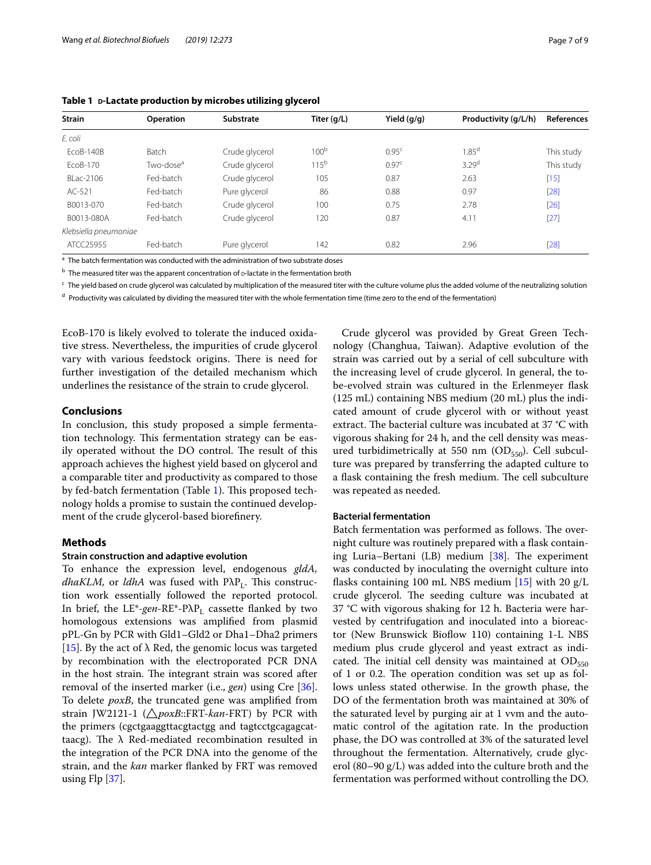| <b>Strain</b>         | <b>Operation</b>      | Substrate      | Titer (g/L)      | Yield $(q/q)$     | Productivity (g/L/h) | References |
|-----------------------|-----------------------|----------------|------------------|-------------------|----------------------|------------|
| E. coli               |                       |                |                  |                   |                      |            |
| EcoB-140B             | Batch                 | Crude glycerol | 100 <sup>b</sup> | 0.95 <sup>c</sup> | 1.85 <sup>d</sup>    | This study |
| FcoB-170              | Two-dose <sup>a</sup> | Crude alvcerol | $115^{b}$        | 0.97 <sup>c</sup> | 3.29 <sup>d</sup>    | This study |
| BI ac-2106            | Fed-batch             | Crude glycerol | 105              | 0.87              | 2.63                 | $[15]$     |
| AC-521                | Fed-batch             | Pure glycerol  | 86               | 0.88              | 0.97                 | $[28]$     |
| B0013-070             | Fed-batch             | Crude glycerol | 100              | 0.75              | 2.78                 | $[26]$     |
| B0013-080A            | Fed-batch             | Crude glycerol | 120              | 0.87              | 4.11                 | $[27]$     |
| Klebsiella pneumoniae |                       |                |                  |                   |                      |            |
| ATCC25955             | Fed-batch             | Pure glycerol  | 142              | 0.82              | 2.96                 | $[28]$     |

<span id="page-6-0"></span>**Table 1 <sup>d</sup>-Lactate production by microbes utilizing glycerol**

<sup>a</sup> The batch fermentation was conducted with the administration of two substrate doses

 $<sup>b</sup>$  The measured titer was the apparent concentration of  $o$ -lactate in the fermentation broth</sup>

<sup>c</sup> The yield based on crude glycerol was calculated by multiplication of the measured titer with the culture volume plus the added volume of the neutralizing solution

 $d$  Productivity was calculated by dividing the measured titer with the whole fermentation time (time zero to the end of the fermentation)

EcoB-170 is likely evolved to tolerate the induced oxidative stress. Nevertheless, the impurities of crude glycerol vary with various feedstock origins. There is need for further investigation of the detailed mechanism which underlines the resistance of the strain to crude glycerol.

#### **Conclusions**

In conclusion, this study proposed a simple fermentation technology. This fermentation strategy can be easily operated without the DO control. The result of this approach achieves the highest yield based on glycerol and a comparable titer and productivity as compared to those by fed-batch fermentation (Table [1\)](#page-6-0). This proposed technology holds a promise to sustain the continued development of the crude glycerol-based biorefnery.

#### **Methods**

#### **Strain construction and adaptive evolution**

To enhance the expression level, endogenous *gldA, dhaKLM*, or *ldhA* was fused with PλP<sub>L</sub>. This construction work essentially followed the reported protocol. In brief, the LE<sup>\*</sup>-gen-RE<sup>\*</sup>-PλP<sub>L</sub> cassette flanked by two homologous extensions was amplifed from plasmid pPL-Gn by PCR with Gld1–Gld2 or Dha1–Dha2 primers [[15\]](#page-8-1). By the act of  $\lambda$  Red, the genomic locus was targeted by recombination with the electroporated PCR DNA in the host strain. The integrant strain was scored after removal of the inserted marker (i.e., *gen*) using Cre [\[36](#page-8-22)]. To delete *poxB*, the truncated gene was amplifed from strain JW2121-1 (△*poxB*::FRT-*kan*-FRT) by PCR with the primers (cgctgaaggttacgtactgg and tagtcctgcagagcattaacg). The  $\lambda$  Red-mediated recombination resulted in the integration of the PCR DNA into the genome of the strain, and the *kan* marker fanked by FRT was removed using Flp [\[37](#page-8-23)].

Crude glycerol was provided by Great Green Technology (Changhua, Taiwan). Adaptive evolution of the strain was carried out by a serial of cell subculture with the increasing level of crude glycerol. In general, the tobe-evolved strain was cultured in the Erlenmeyer fask (125 mL) containing NBS medium (20 mL) plus the indicated amount of crude glycerol with or without yeast extract. The bacterial culture was incubated at 37 °C with vigorous shaking for 24 h, and the cell density was measured turbidimetrically at 550 nm ( $OD<sub>550</sub>$ ). Cell subculture was prepared by transferring the adapted culture to a flask containing the fresh medium. The cell subculture was repeated as needed.

#### **Bacterial fermentation**

Batch fermentation was performed as follows. The overnight culture was routinely prepared with a fask containing Luria–Bertani (LB) medium  $[38]$ . The experiment was conducted by inoculating the overnight culture into flasks containing 100 mL NBS medium  $[15]$  $[15]$  with 20 g/L crude glycerol. The seeding culture was incubated at 37 °C with vigorous shaking for 12 h. Bacteria were harvested by centrifugation and inoculated into a bioreactor (New Brunswick Bioflow 110) containing 1-L NBS medium plus crude glycerol and yeast extract as indicated. The initial cell density was maintained at  $OD_{550}$ of 1 or 0.2. The operation condition was set up as follows unless stated otherwise. In the growth phase, the DO of the fermentation broth was maintained at 30% of the saturated level by purging air at 1 vvm and the automatic control of the agitation rate. In the production phase, the DO was controlled at 3% of the saturated level throughout the fermentation. Alternatively, crude glycerol (80–90 g/L) was added into the culture broth and the fermentation was performed without controlling the DO.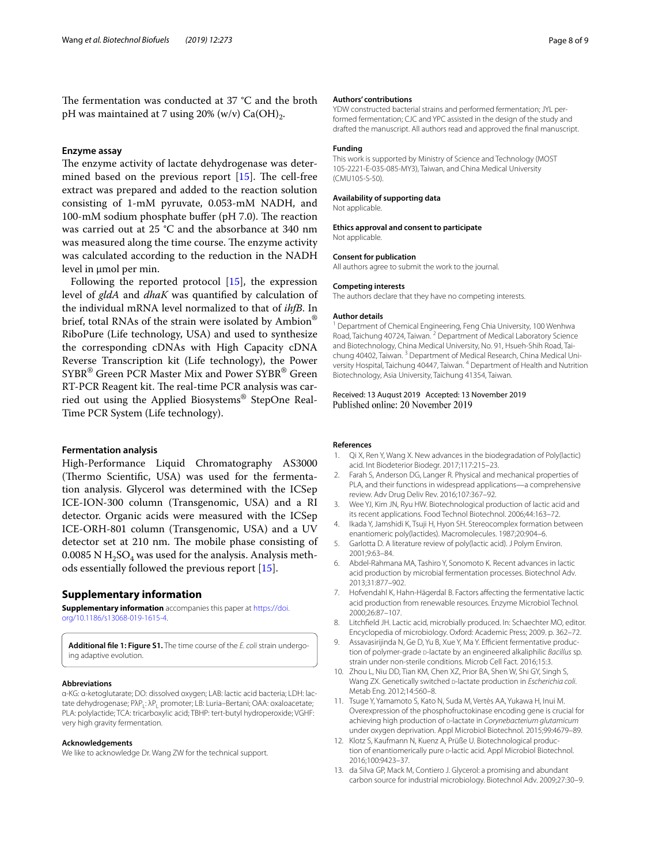The fermentation was conducted at 37  $^{\circ}$ C and the broth pH was maintained at 7 using  $20\%$  (w/v) Ca(OH)<sub>2</sub>.

#### **Enzyme assay**

The enzyme activity of lactate dehydrogenase was determined based on the previous report  $[15]$  $[15]$  $[15]$ . The cell-free extract was prepared and added to the reaction solution consisting of 1-mM pyruvate, 0.053-mM NADH, and 100-mM sodium phosphate buffer (pH  $7.0$ ). The reaction was carried out at 25 °C and the absorbance at 340 nm was measured along the time course. The enzyme activity was calculated according to the reduction in the NADH level in μmol per min.

Following the reported protocol [[15\]](#page-8-1), the expression level of *gldA* and *dhaK* was quantifed by calculation of the individual mRNA level normalized to that of *ihfB*. In brief, total RNAs of the strain were isolated by Ambion® RiboPure (Life technology, USA) and used to synthesize the corresponding cDNAs with High Capacity cDNA Reverse Transcription kit (Life technology), the Power SYBR® Green PCR Master Mix and Power SYBR® Green RT-PCR Reagent kit. The real-time PCR analysis was carried out using the Applied Biosystems® StepOne Real-Time PCR System (Life technology).

#### **Fermentation analysis**

High-Performance Liquid Chromatography AS3000 (Thermo Scientific, USA) was used for the fermentation analysis. Glycerol was determined with the ICSep ICE-ION-300 column (Transgenomic, USA) and a RI detector. Organic acids were measured with the ICSep ICE-ORH-801 column (Transgenomic, USA) and a UV detector set at 210 nm. The mobile phase consisting of 0.0085 N  $H_2SO_4$  was used for the analysis. Analysis methods essentially followed the previous report [\[15](#page-8-1)].

#### **Supplementary information**

**Supplementary information** accompanies this paper at [https://doi.](https://doi.org/10.1186/s13068-019-1615-4) [org/10.1186/s13068-019-1615-4.](https://doi.org/10.1186/s13068-019-1615-4)

<span id="page-7-13"></span>Additional file 1: Figure S1. The time course of the *E. coli* strain undergoing adaptive evolution.

#### **Abbreviations**

α-KG: α-ketoglutarate; DO: dissolved oxygen; LAB: lactic acid bacteria; LDH: lac‑ tate dehydrogenase; PλP<sub>1</sub>: λP<sub>1</sub> promoter; LB: Luria-Bertani; OAA: oxaloacetate; PLA: polylactide; TCA: tricarboxylic acid; TBHP: tert-butyl hydroperoxide; VGHF: very high gravity fermentation.

#### **Acknowledgements**

We like to acknowledge Dr. Wang ZW for the technical support.

#### **Authors' contributions**

YDW constructed bacterial strains and performed fermentation; JYL performed fermentation; CJC and YPC assisted in the design of the study and drafted the manuscript. All authors read and approved the fnal manuscript.

#### **Funding**

This work is supported by Ministry of Science and Technology (MOST 105-2221-E-035-085-MY3), Taiwan, and China Medical University (CMU105-S-50).

#### **Availability of supporting data**

Not applicable.

#### **Ethics approval and consent to participate**

Not applicable.

#### **Consent for publication**

All authors agree to submit the work to the journal.

## The authors declare that they have no competing interests.

**Competing interests**

#### **Author details**

<sup>1</sup> Department of Chemical Engineering, Feng Chia University, 100 Wenhwa Road, Taichung 40724, Taiwan. <sup>2</sup> Department of Medical Laboratory Science and Biotechnology, China Medical University, No. 91, Hsueh-Shih Road, Taichung 40402, Taiwan.<sup>3</sup> Department of Medical Research, China Medical University Hospital, Taichung 40447, Taiwan. <sup>4</sup> Department of Health and Nutrition Biotechnology, Asia University, Taichung 41354, Taiwan.

## Received: 13 August 2019 Accepted: 13 November 2019

#### **References**

- <span id="page-7-0"></span>Qi X, Ren Y, Wang X. New advances in the biodegradation of Poly(lactic) acid. Int Biodeterior Biodegr. 2017;117:215–23.
- <span id="page-7-1"></span>2. Farah S, Anderson DG, Langer R. Physical and mechanical properties of PLA, and their functions in widespread applications—a comprehensive review. Adv Drug Deliv Rev. 2016;107:367–92.
- <span id="page-7-2"></span>3. Wee YJ, Kim JN, Ryu HW. Biotechnological production of lactic acid and its recent applications. Food Technol Biotechnol. 2006;44:163–72.
- <span id="page-7-3"></span>4. Ikada Y, Jamshidi K, Tsuji H, Hyon SH. Stereocomplex formation between enantiomeric poly(lactides). Macromolecules. 1987;20:904–6.
- <span id="page-7-4"></span>5. Garlotta D. A literature review of poly(lactic acid). J Polym Environ. 2001;9:63–84.
- <span id="page-7-5"></span>6. Abdel-Rahmana MA, Tashiro Y, Sonomoto K. Recent advances in lactic acid production by microbial fermentation processes. Biotechnol Adv. 2013;31:877–902.
- <span id="page-7-6"></span>7. Hofvendahl K, Hahn-Hägerdal B. Factors afecting the fermentative lactic acid production from renewable resources. Enzyme Microbiol Technol. 2000;26:87–107.
- <span id="page-7-7"></span>8. Litchfeld JH. Lactic acid, microbially produced. In: Schaechter MO, editor. Encyclopedia of microbiology. Oxford: Academic Press; 2009. p. 362–72.
- <span id="page-7-8"></span>9. Assavasirijinda N, Ge D, Yu B, Xue Y, Ma Y. Efficient fermentative production of polymer-grade p-lactate by an engineered alkaliphilic *Bacillus* sp. strain under non-sterile conditions. Microb Cell Fact. 2016;15:3.
- <span id="page-7-9"></span>10. Zhou L, Niu DD, Tian KM, Chen XZ, Prior BA, Shen W, Shi GY, Singh S, Wang ZX. Genetically switched p-lactate production in *Escherichia coli*. Metab Eng. 2012;14:560–8.
- <span id="page-7-10"></span>11. Tsuge Y, Yamamoto S, Kato N, Suda M, Vertès AA, Yukawa H, Inui M. Overexpression of the phosphofructokinase encoding gene is crucial for achieving high production of **p-lactate** in *Corynebacterium glutamicum* under oxygen deprivation. Appl Microbiol Biotechnol. 2015;99:4679–89.
- <span id="page-7-11"></span>12. Klotz S, Kaufmann N, Kuenz A, Prüße U. Biotechnological production of enantiomerically pure D-lactic acid. Appl Microbiol Biotechnol. 2016;100:9423–37.
- <span id="page-7-12"></span>13. da Silva GP, Mack M, Contiero J. Glycerol: a promising and abundant carbon source for industrial microbiology. Biotechnol Adv. 2009;27:30–9.